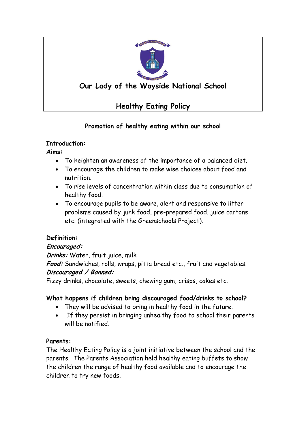

# **Our Lady of the Wayside National School**

# **Healthy Eating Policy**

# **Promotion of healthy eating within our school**

## **Introduction:**

**Aims:**

- To heighten an awareness of the importance of a balanced diet.
- To encourage the children to make wise choices about food and nutrition.
- To rise levels of concentration within class due to consumption of healthy food.
- To encourage pupils to be aware, alert and responsive to litter problems caused by junk food, pre-prepared food, juice cartons etc. (integrated with the Greenschools Project).

# **Definition:**

# **Encouraged:**

**Drinks:** Water, fruit juice, milk

Food: Sandwiches, rolls, wraps, pitta bread etc., fruit and vegetables. **Discouraged / Banned:**

Fizzy drinks, chocolate, sweets, chewing gum, crisps, cakes etc.

# **What happens if children bring discouraged food/drinks to school?**

- They will be advised to bring in healthy food in the future.
- If they persist in bringing unhealthy food to school their parents will be notified.

# **Parents:**

The Healthy Eating Policy is a joint initiative between the school and the parents. The Parents Association held healthy eating buffets to show the children the range of healthy food available and to encourage the children to try new foods.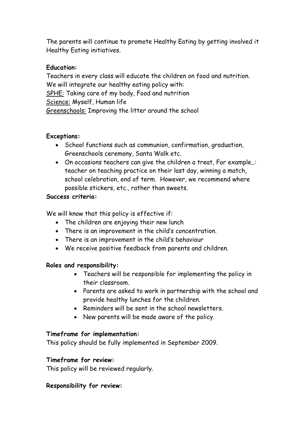The parents will continue to promote Healthy Eating by getting involved it Healthy Eating initiatives.

#### **Education:**

Teachers in every class will educate the children on food and nutrition. We will integrate our healthy eating policy with: SPHE: Taking care of my body, Food and nutrition Science: Myself, Human life Greenschools: Improving the litter around the school

#### **Exceptions:**

- School functions such as communion, confirmation, graduation, Greenschools ceremony, Santa Walk etc.
- On occasions teachers can give the children a treat, For example,.: teacher on teaching practice on their last day, winning a match, school celebration, end of term. However, we recommend where possible stickers, etc., rather than sweets.

## **Success criteria:**

We will know that this policy is effective if:

- The children are enjoying their new lunch
- There is an improvement in the child's concentration.
- There is an improvement in the child's behaviour
- We receive positive feedback from parents and children.

## **Roles and responsibility:**

- Teachers will be responsible for implementing the policy in their classroom.
- Parents are asked to work in partnership with the school and provide healthy lunches for the children.
- Reminders will be sent in the school newsletters.
- New parents will be made aware of the policy.

## **Timeframe for implementation:**

This policy should be fully implemented in September 2009.

## **Timeframe for review:**

This policy will be reviewed regularly.

## **Responsibility for review:**